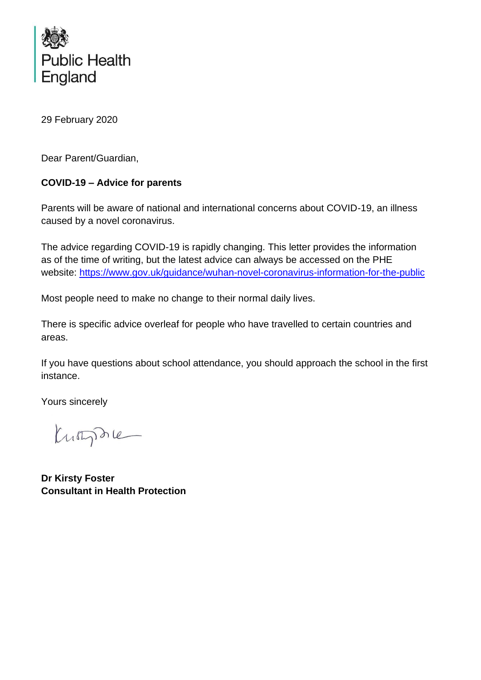

29 February 2020

Dear Parent/Guardian,

# **COVID-19 – Advice for parents**

Parents will be aware of national and international concerns about COVID-19, an illness caused by a novel coronavirus.

The advice regarding COVID-19 is rapidly changing. This letter provides the information as of the time of writing, but the latest advice can always be accessed on the PHE website:<https://www.gov.uk/guidance/wuhan-novel-coronavirus-information-for-the-public>

Most people need to make no change to their normal daily lives.

There is specific advice overleaf for people who have travelled to certain countries and areas.

If you have questions about school attendance, you should approach the school in the first instance.

Yours sincerely

Kumphie

**Dr Kirsty Foster Consultant in Health Protection**